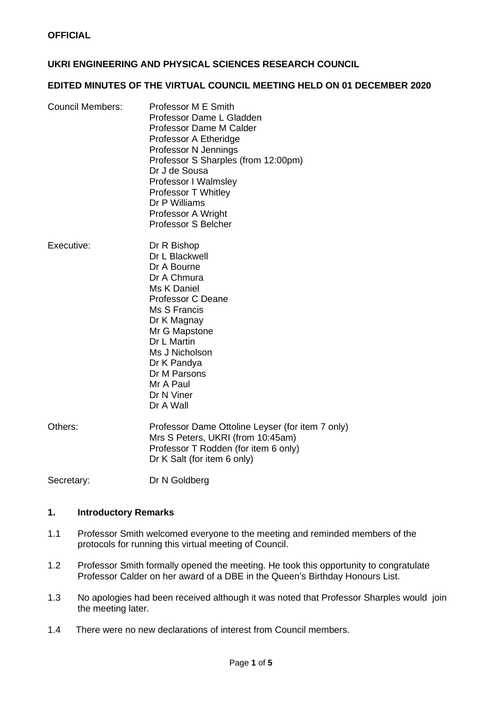### **UKRI ENGINEERING AND PHYSICAL SCIENCES RESEARCH COUNCIL**

### **EDITED MINUTES OF THE VIRTUAL COUNCIL MEETING HELD ON 01 DECEMBER 2020**

| <b>Council Members:</b> | Professor M E Smith<br>Professor Dame L Gladden<br>Professor Dame M Calder<br>Professor A Etheridge<br>Professor N Jennings<br>Professor S Sharples (from 12:00pm)<br>Dr J de Sousa<br>Professor I Walmsley<br><b>Professor T Whitley</b><br>Dr P Williams<br>Professor A Wright<br><b>Professor S Belcher</b> |
|-------------------------|----------------------------------------------------------------------------------------------------------------------------------------------------------------------------------------------------------------------------------------------------------------------------------------------------------------|
| Executive:              | Dr R Bishop<br>Dr L Blackwell<br>Dr A Bourne<br>Dr A Chmura<br>Ms K Daniel<br><b>Professor C Deane</b><br>Ms S Francis<br>Dr K Magnay<br>Mr G Mapstone<br>Dr L Martin<br>Ms J Nicholson<br>Dr K Pandya<br>Dr M Parsons<br>Mr A Paul                                                                            |

Others: Professor Dame Ottoline Leyser (for item 7 only) Mrs S Peters, UKRI (from 10:45am) Professor T Rodden (for item 6 only) Dr K Salt (for item 6 only)

Dr N Viner Dr A Wall

Secretary: Dr N Goldberg

### **1. Introductory Remarks**

- 1.1 Professor Smith welcomed everyone to the meeting and reminded members of the protocols for running this virtual meeting of Council.
- 1.2 Professor Smith formally opened the meeting. He took this opportunity to congratulate Professor Calder on her award of a DBE in the Queen's Birthday Honours List.
- 1.3 No apologies had been received although it was noted that Professor Sharples would join the meeting later.
- 1.4 There were no new declarations of interest from Council members.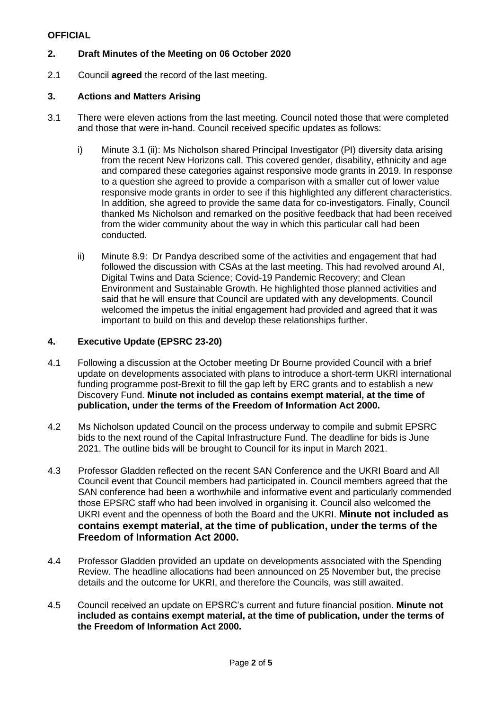# **2. Draft Minutes of the Meeting on 06 October 2020**

2.1 Council **agreed** the record of the last meeting.

### **3. Actions and Matters Arising**

- 3.1 There were eleven actions from the last meeting. Council noted those that were completed and those that were in-hand. Council received specific updates as follows:
	- i) Minute 3.1 (ii): Ms Nicholson shared Principal Investigator (PI) diversity data arising from the recent New Horizons call. This covered gender, disability, ethnicity and age and compared these categories against responsive mode grants in 2019. In response to a question she agreed to provide a comparison with a smaller cut of lower value responsive mode grants in order to see if this highlighted any different characteristics. In addition, she agreed to provide the same data for co-investigators. Finally, Council thanked Ms Nicholson and remarked on the positive feedback that had been received from the wider community about the way in which this particular call had been conducted.
	- ii) Minute 8.9: Dr Pandya described some of the activities and engagement that had followed the discussion with CSAs at the last meeting. This had revolved around AI, Digital Twins and Data Science; Covid-19 Pandemic Recovery; and Clean Environment and Sustainable Growth. He highlighted those planned activities and said that he will ensure that Council are updated with any developments. Council welcomed the impetus the initial engagement had provided and agreed that it was important to build on this and develop these relationships further.

### **4. Executive Update (EPSRC 23-20)**

- 4.1 Following a discussion at the October meeting Dr Bourne provided Council with a brief update on developments associated with plans to introduce a short-term UKRI international funding programme post-Brexit to fill the gap left by ERC grants and to establish a new Discovery Fund. **Minute not included as contains exempt material, at the time of publication, under the terms of the Freedom of Information Act 2000.**
- 4.2 Ms Nicholson updated Council on the process underway to compile and submit EPSRC bids to the next round of the Capital Infrastructure Fund. The deadline for bids is June 2021. The outline bids will be brought to Council for its input in March 2021.
- 4.3 Professor Gladden reflected on the recent SAN Conference and the UKRI Board and All Council event that Council members had participated in. Council members agreed that the SAN conference had been a worthwhile and informative event and particularly commended those EPSRC staff who had been involved in organising it. Council also welcomed the UKRI event and the openness of both the Board and the UKRI. **Minute not included as contains exempt material, at the time of publication, under the terms of the Freedom of Information Act 2000.**
- 4.4 Professor Gladden provided an update on developments associated with the Spending Review. The headline allocations had been announced on 25 November but, the precise details and the outcome for UKRI, and therefore the Councils, was still awaited.
- 4.5 Council received an update on EPSRC's current and future financial position. **Minute not included as contains exempt material, at the time of publication, under the terms of the Freedom of Information Act 2000.**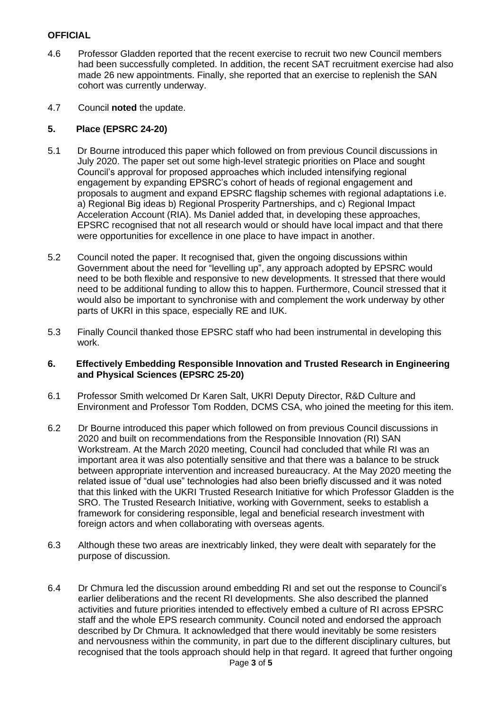- 4.6 Professor Gladden reported that the recent exercise to recruit two new Council members had been successfully completed. In addition, the recent SAT recruitment exercise had also made 26 new appointments. Finally, she reported that an exercise to replenish the SAN cohort was currently underway.
- 4.7 Council **noted** the update.

### **5. Place (EPSRC 24-20)**

- 5.1 Dr Bourne introduced this paper which followed on from previous Council discussions in July 2020. The paper set out some high-level strategic priorities on Place and sought Council's approval for proposed approaches which included intensifying regional engagement by expanding EPSRC's cohort of heads of regional engagement and proposals to augment and expand EPSRC flagship schemes with regional adaptations i.e. a) Regional Big ideas b) Regional Prosperity Partnerships, and c) Regional Impact Acceleration Account (RIA). Ms Daniel added that, in developing these approaches, EPSRC recognised that not all research would or should have local impact and that there were opportunities for excellence in one place to have impact in another.
- 5.2 Council noted the paper. It recognised that, given the ongoing discussions within Government about the need for "levelling up", any approach adopted by EPSRC would need to be both flexible and responsive to new developments. It stressed that there would need to be additional funding to allow this to happen. Furthermore, Council stressed that it would also be important to synchronise with and complement the work underway by other parts of UKRI in this space, especially RE and IUK.
- 5.3 Finally Council thanked those EPSRC staff who had been instrumental in developing this work.

#### **6. Effectively Embedding Responsible Innovation and Trusted Research in Engineering and Physical Sciences (EPSRC 25-20)**

- 6.1 Professor Smith welcomed Dr Karen Salt, UKRI Deputy Director, R&D Culture and Environment and Professor Tom Rodden, DCMS CSA, who joined the meeting for this item.
- 6.2 Dr Bourne introduced this paper which followed on from previous Council discussions in 2020 and built on recommendations from the Responsible Innovation (RI) SAN Workstream. At the March 2020 meeting, Council had concluded that while RI was an important area it was also potentially sensitive and that there was a balance to be struck between appropriate intervention and increased bureaucracy. At the May 2020 meeting the related issue of "dual use" technologies had also been briefly discussed and it was noted that this linked with the UKRI Trusted Research Initiative for which Professor Gladden is the SRO. The Trusted Research Initiative, working with Government, seeks to establish a framework for considering responsible, legal and beneficial research investment with foreign actors and when collaborating with overseas agents.
- 6.3 Although these two areas are inextricably linked, they were dealt with separately for the purpose of discussion.
- 6.4 Dr Chmura led the discussion around embedding RI and set out the response to Council's earlier deliberations and the recent RI developments. She also described the planned activities and future priorities intended to effectively embed a culture of RI across EPSRC staff and the whole EPS research community. Council noted and endorsed the approach described by Dr Chmura. It acknowledged that there would inevitably be some resisters and nervousness within the community, in part due to the different disciplinary cultures, but recognised that the tools approach should help in that regard. It agreed that further ongoing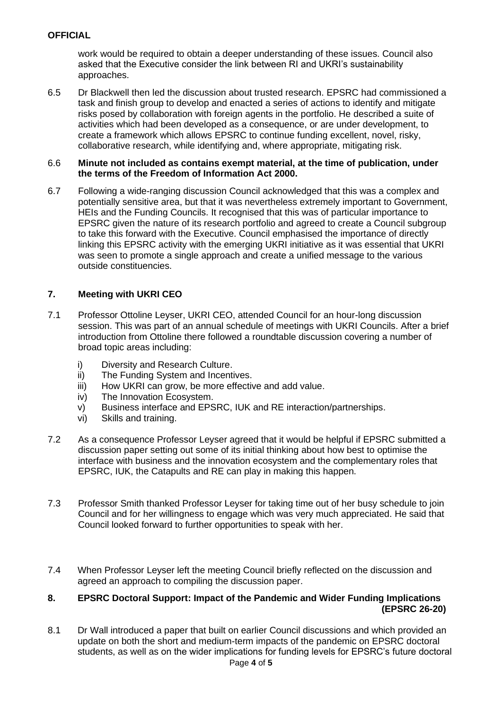work would be required to obtain a deeper understanding of these issues. Council also asked that the Executive consider the link between RI and UKRI's sustainability approaches.

6.5 Dr Blackwell then led the discussion about trusted research. EPSRC had commissioned a task and finish group to develop and enacted a series of actions to identify and mitigate risks posed by collaboration with foreign agents in the portfolio. He described a suite of activities which had been developed as a consequence, or are under development, to create a framework which allows EPSRC to continue funding excellent, novel, risky, collaborative research, while identifying and, where appropriate, mitigating risk.

#### 6.6 **Minute not included as contains exempt material, at the time of publication, under the terms of the Freedom of Information Act 2000.**

6.7 Following a wide-ranging discussion Council acknowledged that this was a complex and potentially sensitive area, but that it was nevertheless extremely important to Government, HEIs and the Funding Councils. It recognised that this was of particular importance to EPSRC given the nature of its research portfolio and agreed to create a Council subgroup to take this forward with the Executive. Council emphasised the importance of directly linking this EPSRC activity with the emerging UKRI initiative as it was essential that UKRI was seen to promote a single approach and create a unified message to the various outside constituencies.

# **7. Meeting with UKRI CEO**

- 7.1 Professor Ottoline Leyser, UKRI CEO, attended Council for an hour-long discussion session. This was part of an annual schedule of meetings with UKRI Councils. After a brief introduction from Ottoline there followed a roundtable discussion covering a number of broad topic areas including:
	- i) Diversity and Research Culture.
	- ii) The Funding System and Incentives.
	- iii) How UKRI can grow, be more effective and add value.
	- iv) The Innovation Ecosystem.
	- v) Business interface and EPSRC, IUK and RE interaction/partnerships.
	- vi) Skills and training.
- 7.2 As a consequence Professor Leyser agreed that it would be helpful if EPSRC submitted a discussion paper setting out some of its initial thinking about how best to optimise the interface with business and the innovation ecosystem and the complementary roles that EPSRC, IUK, the Catapults and RE can play in making this happen.
- 7.3 Professor Smith thanked Professor Leyser for taking time out of her busy schedule to join Council and for her willingness to engage which was very much appreciated. He said that Council looked forward to further opportunities to speak with her.
- 7.4 When Professor Leyser left the meeting Council briefly reflected on the discussion and agreed an approach to compiling the discussion paper.

### **8. EPSRC Doctoral Support: Impact of the Pandemic and Wider Funding Implications (EPSRC 26-20)**

Page **4** of **5** 8.1 Dr Wall introduced a paper that built on earlier Council discussions and which provided an update on both the short and medium-term impacts of the pandemic on EPSRC doctoral students, as well as on the wider implications for funding levels for EPSRC's future doctoral